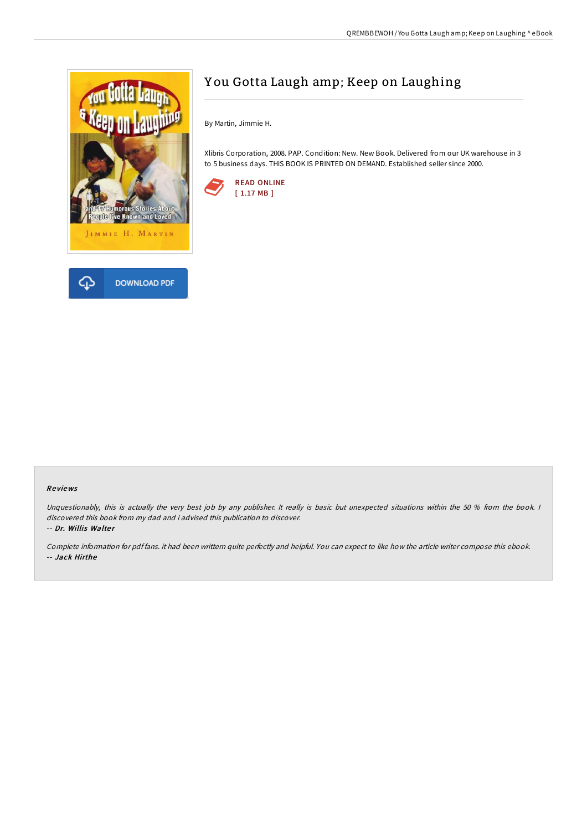

## Y ou Gotta Laugh amp; Keep on Laughing

By Martin, Jimmie H.

Xlibris Corporation, 2008. PAP. Condition: New. New Book. Delivered from our UK warehouse in 3 to 5 business days. THIS BOOK IS PRINTED ON DEMAND. Established seller since 2000.



## Re views

Unquestionably, this is actually the very best job by any publisher. It really is basic but unexpected situations within the 50 % from the book. I discovered this book from my dad and i advised this publication to discover. -- Dr. Willis Walter

Complete information for pdf fans. it had been writtern quite perfectly and helpful. You can expect to like how the article writer compose this ebook. -- Jack Hirthe